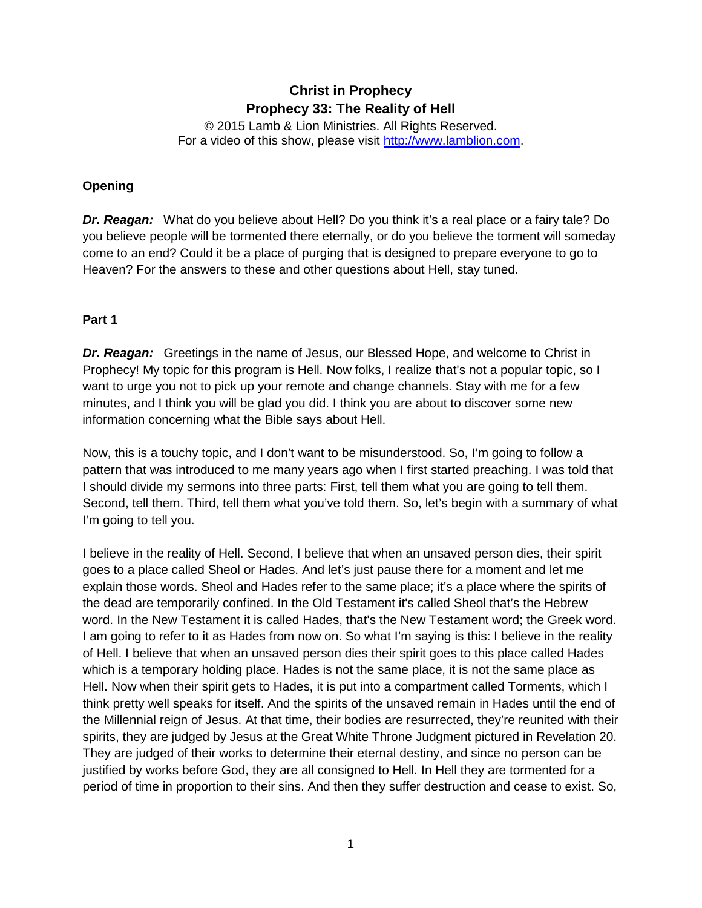# **Christ in Prophecy Prophecy 33: The Reality of Hell**

© 2015 Lamb & Lion Ministries. All Rights Reserved. For a video of this show, please visit [http://www.lamblion.com.](http://www.lamblion.com/)

## **Opening**

*Dr. Reagan:* What do you believe about Hell? Do you think it's a real place or a fairy tale? Do you believe people will be tormented there eternally, or do you believe the torment will someday come to an end? Could it be a place of purging that is designed to prepare everyone to go to Heaven? For the answers to these and other questions about Hell, stay tuned.

#### **Part 1**

*Dr. Reagan:* Greetings in the name of Jesus, our Blessed Hope, and welcome to Christ in Prophecy! My topic for this program is Hell. Now folks, I realize that's not a popular topic, so I want to urge you not to pick up your remote and change channels. Stay with me for a few minutes, and I think you will be glad you did. I think you are about to discover some new information concerning what the Bible says about Hell.

Now, this is a touchy topic, and I don't want to be misunderstood. So, I'm going to follow a pattern that was introduced to me many years ago when I first started preaching. I was told that I should divide my sermons into three parts: First, tell them what you are going to tell them. Second, tell them. Third, tell them what you've told them. So, let's begin with a summary of what I'm going to tell you.

I believe in the reality of Hell. Second, I believe that when an unsaved person dies, their spirit goes to a place called Sheol or Hades. And let's just pause there for a moment and let me explain those words. Sheol and Hades refer to the same place; it's a place where the spirits of the dead are temporarily confined. In the Old Testament it's called Sheol that's the Hebrew word. In the New Testament it is called Hades, that's the New Testament word; the Greek word. I am going to refer to it as Hades from now on. So what I'm saying is this: I believe in the reality of Hell. I believe that when an unsaved person dies their spirit goes to this place called Hades which is a temporary holding place. Hades is not the same place, it is not the same place as Hell. Now when their spirit gets to Hades, it is put into a compartment called Torments, which I think pretty well speaks for itself. And the spirits of the unsaved remain in Hades until the end of the Millennial reign of Jesus. At that time, their bodies are resurrected, they're reunited with their spirits, they are judged by Jesus at the Great White Throne Judgment pictured in Revelation 20. They are judged of their works to determine their eternal destiny, and since no person can be justified by works before God, they are all consigned to Hell. In Hell they are tormented for a period of time in proportion to their sins. And then they suffer destruction and cease to exist. So,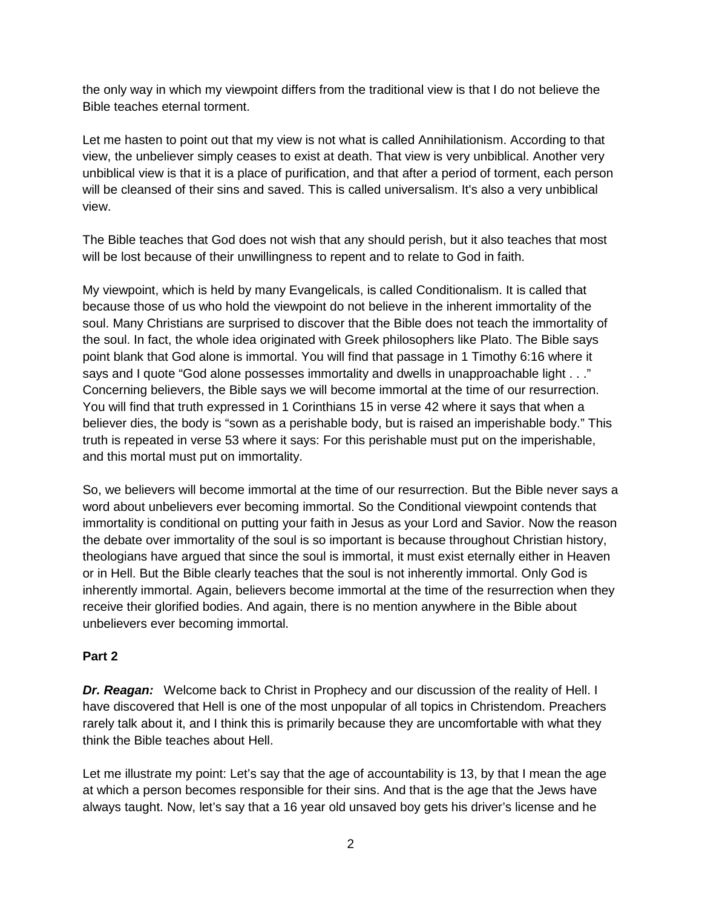the only way in which my viewpoint differs from the traditional view is that I do not believe the Bible teaches eternal torment.

Let me hasten to point out that my view is not what is called Annihilationism. According to that view, the unbeliever simply ceases to exist at death. That view is very unbiblical. Another very unbiblical view is that it is a place of purification, and that after a period of torment, each person will be cleansed of their sins and saved. This is called universalism. It's also a very unbiblical view.

The Bible teaches that God does not wish that any should perish, but it also teaches that most will be lost because of their unwillingness to repent and to relate to God in faith.

My viewpoint, which is held by many Evangelicals, is called Conditionalism. It is called that because those of us who hold the viewpoint do not believe in the inherent immortality of the soul. Many Christians are surprised to discover that the Bible does not teach the immortality of the soul. In fact, the whole idea originated with Greek philosophers like Plato. The Bible says point blank that God alone is immortal. You will find that passage in 1 Timothy 6:16 where it says and I quote "God alone possesses immortality and dwells in unapproachable light . . ." Concerning believers, the Bible says we will become immortal at the time of our resurrection. You will find that truth expressed in 1 Corinthians 15 in verse 42 where it says that when a believer dies, the body is "sown as a perishable body, but is raised an imperishable body." This truth is repeated in verse 53 where it says: For this perishable must put on the imperishable, and this mortal must put on immortality.

So, we believers will become immortal at the time of our resurrection. But the Bible never says a word about unbelievers ever becoming immortal. So the Conditional viewpoint contends that immortality is conditional on putting your faith in Jesus as your Lord and Savior. Now the reason the debate over immortality of the soul is so important is because throughout Christian history, theologians have argued that since the soul is immortal, it must exist eternally either in Heaven or in Hell. But the Bible clearly teaches that the soul is not inherently immortal. Only God is inherently immortal. Again, believers become immortal at the time of the resurrection when they receive their glorified bodies. And again, there is no mention anywhere in the Bible about unbelievers ever becoming immortal.

#### **Part 2**

*Dr. Reagan:* Welcome back to Christ in Prophecy and our discussion of the reality of Hell. I have discovered that Hell is one of the most unpopular of all topics in Christendom. Preachers rarely talk about it, and I think this is primarily because they are uncomfortable with what they think the Bible teaches about Hell.

Let me illustrate my point: Let's say that the age of accountability is 13, by that I mean the age at which a person becomes responsible for their sins. And that is the age that the Jews have always taught. Now, let's say that a 16 year old unsaved boy gets his driver's license and he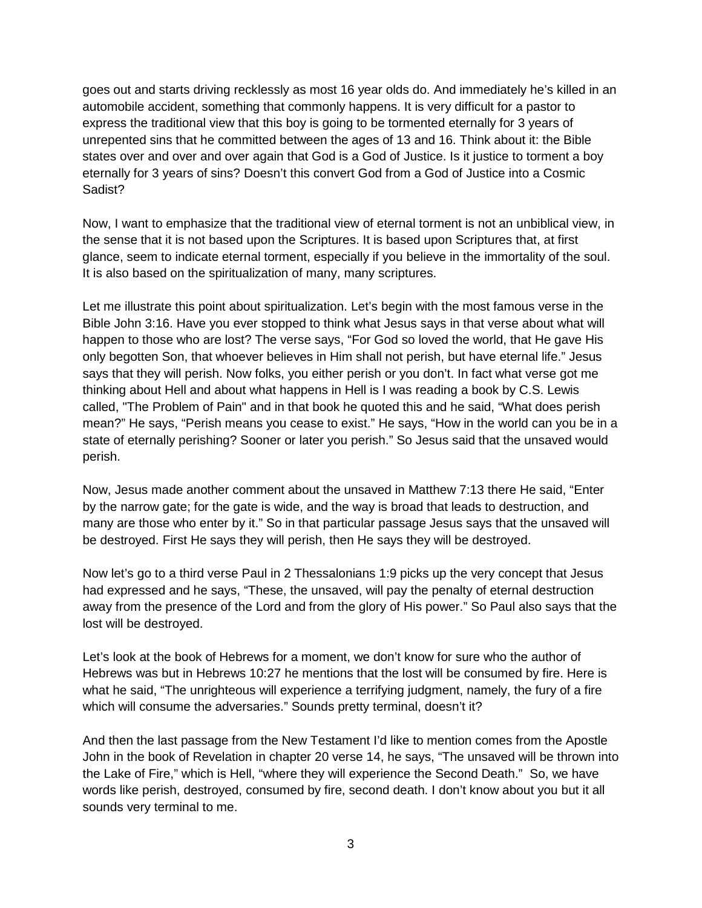goes out and starts driving recklessly as most 16 year olds do. And immediately he's killed in an automobile accident, something that commonly happens. It is very difficult for a pastor to express the traditional view that this boy is going to be tormented eternally for 3 years of unrepented sins that he committed between the ages of 13 and 16. Think about it: the Bible states over and over and over again that God is a God of Justice. Is it justice to torment a boy eternally for 3 years of sins? Doesn't this convert God from a God of Justice into a Cosmic Sadist?

Now, I want to emphasize that the traditional view of eternal torment is not an unbiblical view, in the sense that it is not based upon the Scriptures. It is based upon Scriptures that, at first glance, seem to indicate eternal torment, especially if you believe in the immortality of the soul. It is also based on the spiritualization of many, many scriptures.

Let me illustrate this point about spiritualization. Let's begin with the most famous verse in the Bible John 3:16. Have you ever stopped to think what Jesus says in that verse about what will happen to those who are lost? The verse says, "For God so loved the world, that He gave His only begotten Son, that whoever believes in Him shall not perish, but have eternal life." Jesus says that they will perish. Now folks, you either perish or you don't. In fact what verse got me thinking about Hell and about what happens in Hell is I was reading a book by C.S. Lewis called, "The Problem of Pain" and in that book he quoted this and he said, "What does perish mean?" He says, "Perish means you cease to exist." He says, "How in the world can you be in a state of eternally perishing? Sooner or later you perish." So Jesus said that the unsaved would perish.

Now, Jesus made another comment about the unsaved in Matthew 7:13 there He said, "Enter by the narrow gate; for the gate is wide, and the way is broad that leads to destruction, and many are those who enter by it." So in that particular passage Jesus says that the unsaved will be destroyed. First He says they will perish, then He says they will be destroyed.

Now let's go to a third verse Paul in 2 Thessalonians 1:9 picks up the very concept that Jesus had expressed and he says, "These, the unsaved, will pay the penalty of eternal destruction away from the presence of the Lord and from the glory of His power." So Paul also says that the lost will be destroyed.

Let's look at the book of Hebrews for a moment, we don't know for sure who the author of Hebrews was but in Hebrews 10:27 he mentions that the lost will be consumed by fire. Here is what he said, "The unrighteous will experience a terrifying judgment, namely, the fury of a fire which will consume the adversaries." Sounds pretty terminal, doesn't it?

And then the last passage from the New Testament I'd like to mention comes from the Apostle John in the book of Revelation in chapter 20 verse 14, he says, "The unsaved will be thrown into the Lake of Fire," which is Hell, "where they will experience the Second Death." So, we have words like perish, destroyed, consumed by fire, second death. I don't know about you but it all sounds very terminal to me.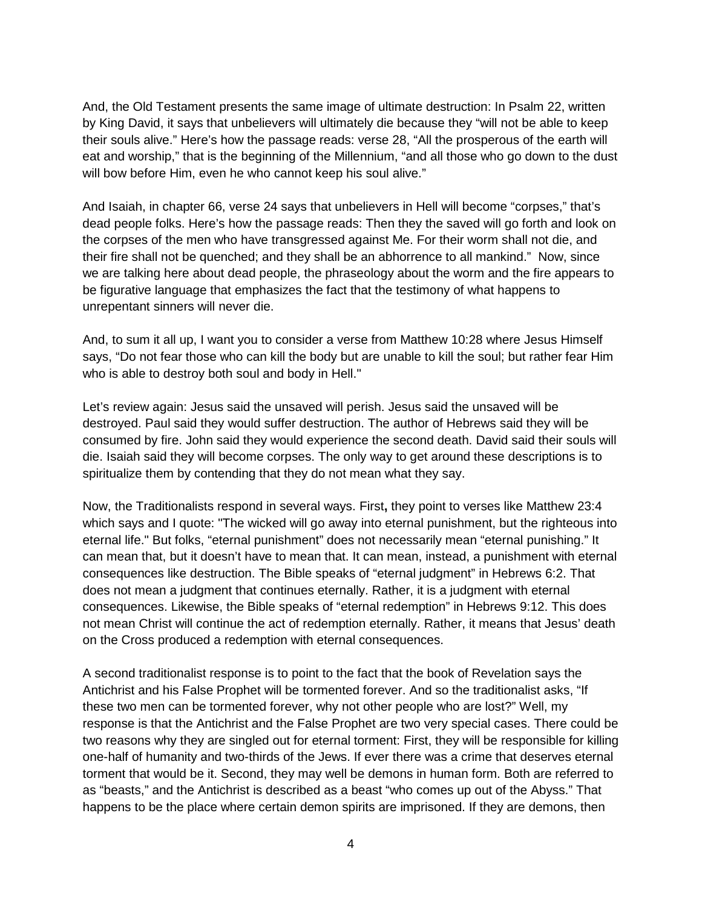And, the Old Testament presents the same image of ultimate destruction: In Psalm 22, written by King David, it says that unbelievers will ultimately die because they "will not be able to keep their souls alive." Here's how the passage reads: verse 28, "All the prosperous of the earth will eat and worship," that is the beginning of the Millennium, "and all those who go down to the dust will bow before Him, even he who cannot keep his soul alive."

And Isaiah, in chapter 66, verse 24 says that unbelievers in Hell will become "corpses," that's dead people folks. Here's how the passage reads: Then they the saved will go forth and look on the corpses of the men who have transgressed against Me. For their worm shall not die, and their fire shall not be quenched; and they shall be an abhorrence to all mankind." Now, since we are talking here about dead people, the phraseology about the worm and the fire appears to be figurative language that emphasizes the fact that the testimony of what happens to unrepentant sinners will never die.

And, to sum it all up, I want you to consider a verse from Matthew 10:28 where Jesus Himself says, "Do not fear those who can kill the body but are unable to kill the soul; but rather fear Him who is able to destroy both soul and body in Hell."

Let's review again: Jesus said the unsaved will perish. Jesus said the unsaved will be destroyed. Paul said they would suffer destruction. The author of Hebrews said they will be consumed by fire. John said they would experience the second death. David said their souls will die. Isaiah said they will become corpses. The only way to get around these descriptions is to spiritualize them by contending that they do not mean what they say.

Now, the Traditionalists respond in several ways. First**,** they point to verses like Matthew 23:4 which says and I quote: "The wicked will go away into eternal punishment, but the righteous into eternal life." But folks, "eternal punishment" does not necessarily mean "eternal punishing." It can mean that, but it doesn't have to mean that. It can mean, instead, a punishment with eternal consequences like destruction. The Bible speaks of "eternal judgment" in Hebrews 6:2. That does not mean a judgment that continues eternally. Rather, it is a judgment with eternal consequences. Likewise, the Bible speaks of "eternal redemption" in Hebrews 9:12. This does not mean Christ will continue the act of redemption eternally. Rather, it means that Jesus' death on the Cross produced a redemption with eternal consequences.

A second traditionalist response is to point to the fact that the book of Revelation says the Antichrist and his False Prophet will be tormented forever. And so the traditionalist asks, "If these two men can be tormented forever, why not other people who are lost?" Well, my response is that the Antichrist and the False Prophet are two very special cases. There could be two reasons why they are singled out for eternal torment: First, they will be responsible for killing one-half of humanity and two-thirds of the Jews. If ever there was a crime that deserves eternal torment that would be it. Second, they may well be demons in human form. Both are referred to as "beasts," and the Antichrist is described as a beast "who comes up out of the Abyss." That happens to be the place where certain demon spirits are imprisoned. If they are demons, then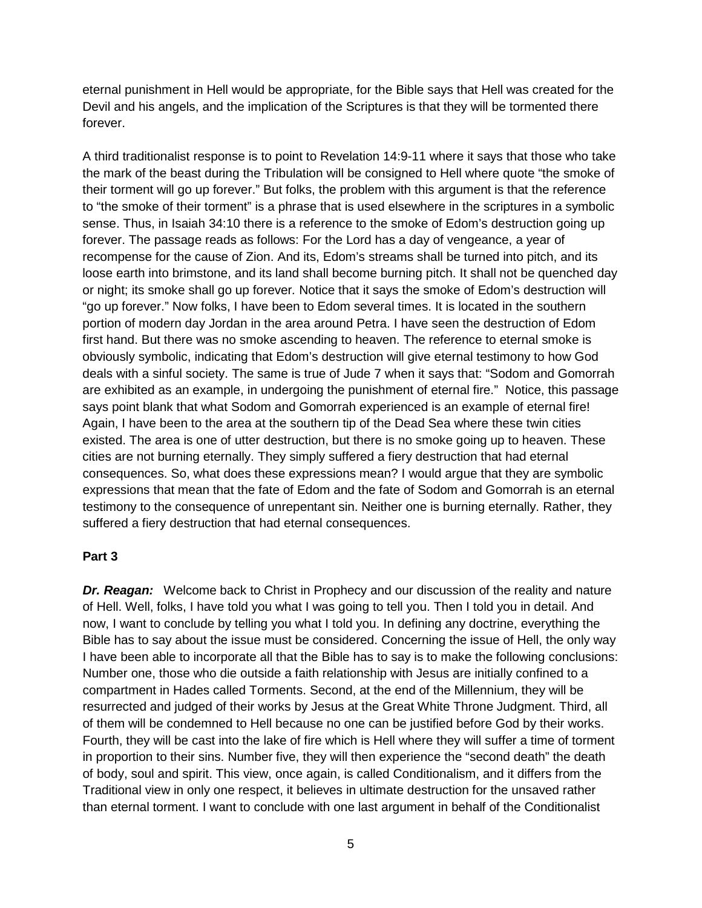eternal punishment in Hell would be appropriate, for the Bible says that Hell was created for the Devil and his angels, and the implication of the Scriptures is that they will be tormented there forever.

A third traditionalist response is to point to Revelation 14:9-11 where it says that those who take the mark of the beast during the Tribulation will be consigned to Hell where quote "the smoke of their torment will go up forever." But folks, the problem with this argument is that the reference to "the smoke of their torment" is a phrase that is used elsewhere in the scriptures in a symbolic sense. Thus, in Isaiah 34:10 there is a reference to the smoke of Edom's destruction going up forever. The passage reads as follows: For the Lord has a day of vengeance, a year of recompense for the cause of Zion. And its, Edom's streams shall be turned into pitch, and its loose earth into brimstone, and its land shall become burning pitch. It shall not be quenched day or night; its smoke shall go up forever*.* Notice that it says the smoke of Edom's destruction will "go up forever." Now folks, I have been to Edom several times. It is located in the southern portion of modern day Jordan in the area around Petra. I have seen the destruction of Edom first hand. But there was no smoke ascending to heaven. The reference to eternal smoke is obviously symbolic, indicating that Edom's destruction will give eternal testimony to how God deals with a sinful society. The same is true of Jude 7 when it says that: "Sodom and Gomorrah are exhibited as an example, in undergoing the punishment of eternal fire." Notice, this passage says point blank that what Sodom and Gomorrah experienced is an example of eternal fire! Again, I have been to the area at the southern tip of the Dead Sea where these twin cities existed. The area is one of utter destruction, but there is no smoke going up to heaven. These cities are not burning eternally. They simply suffered a fiery destruction that had eternal consequences. So, what does these expressions mean? I would argue that they are symbolic expressions that mean that the fate of Edom and the fate of Sodom and Gomorrah is an eternal testimony to the consequence of unrepentant sin. Neither one is burning eternally. Rather, they suffered a fiery destruction that had eternal consequences.

#### **Part 3**

**Dr. Reagan:** Welcome back to Christ in Prophecy and our discussion of the reality and nature of Hell. Well, folks, I have told you what I was going to tell you. Then I told you in detail. And now, I want to conclude by telling you what I told you. In defining any doctrine, everything the Bible has to say about the issue must be considered. Concerning the issue of Hell, the only way I have been able to incorporate all that the Bible has to say is to make the following conclusions: Number one, those who die outside a faith relationship with Jesus are initially confined to a compartment in Hades called Torments. Second, at the end of the Millennium, they will be resurrected and judged of their works by Jesus at the Great White Throne Judgment. Third, all of them will be condemned to Hell because no one can be justified before God by their works. Fourth, they will be cast into the lake of fire which is Hell where they will suffer a time of torment in proportion to their sins. Number five, they will then experience the "second death" the death of body, soul and spirit. This view, once again, is called Conditionalism, and it differs from the Traditional view in only one respect, it believes in ultimate destruction for the unsaved rather than eternal torment. I want to conclude with one last argument in behalf of the Conditionalist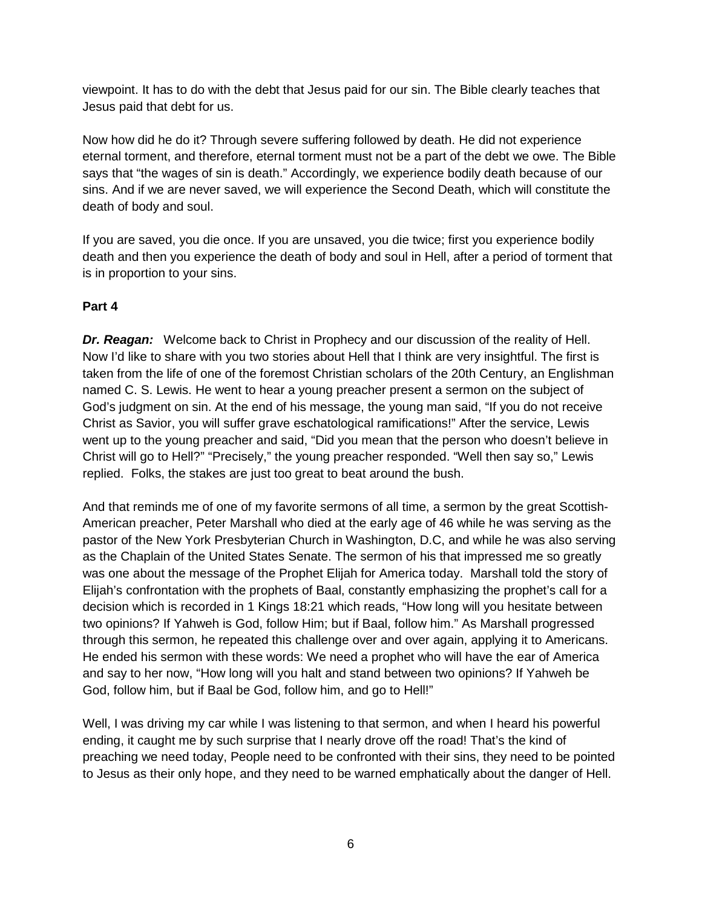viewpoint. It has to do with the debt that Jesus paid for our sin. The Bible clearly teaches that Jesus paid that debt for us.

Now how did he do it? Through severe suffering followed by death. He did not experience eternal torment, and therefore, eternal torment must not be a part of the debt we owe. The Bible says that "the wages of sin is death." Accordingly, we experience bodily death because of our sins. And if we are never saved, we will experience the Second Death, which will constitute the death of body and soul.

If you are saved, you die once. If you are unsaved, you die twice; first you experience bodily death and then you experience the death of body and soul in Hell, after a period of torment that is in proportion to your sins.

# **Part 4**

**Dr. Reagan:** Welcome back to Christ in Prophecy and our discussion of the reality of Hell. Now I'd like to share with you two stories about Hell that I think are very insightful. The first is taken from the life of one of the foremost Christian scholars of the 20th Century, an Englishman named C. S. Lewis. He went to hear a young preacher present a sermon on the subject of God's judgment on sin. At the end of his message, the young man said, "If you do not receive Christ as Savior, you will suffer grave eschatological ramifications!" After the service, Lewis went up to the young preacher and said, "Did you mean that the person who doesn't believe in Christ will go to Hell?" "Precisely," the young preacher responded. "Well then say so," Lewis replied. Folks, the stakes are just too great to beat around the bush.

And that reminds me of one of my favorite sermons of all time, a sermon by the great Scottish-American preacher, Peter Marshall who died at the early age of 46 while he was serving as the pastor of the New York Presbyterian Church in Washington, D.C, and while he was also serving as the Chaplain of the United States Senate. The sermon of his that impressed me so greatly was one about the message of the Prophet Elijah for America today. Marshall told the story of Elijah's confrontation with the prophets of Baal, constantly emphasizing the prophet's call for a decision which is recorded in 1 Kings 18:21 which reads, "How long will you hesitate between two opinions? If Yahweh is God, follow Him; but if Baal, follow him." As Marshall progressed through this sermon, he repeated this challenge over and over again, applying it to Americans. He ended his sermon with these words: We need a prophet who will have the ear of America and say to her now, "How long will you halt and stand between two opinions? If Yahweh be God, follow him, but if Baal be God, follow him, and go to Hell!"

Well, I was driving my car while I was listening to that sermon, and when I heard his powerful ending, it caught me by such surprise that I nearly drove off the road! That's the kind of preaching we need today, People need to be confronted with their sins, they need to be pointed to Jesus as their only hope, and they need to be warned emphatically about the danger of Hell.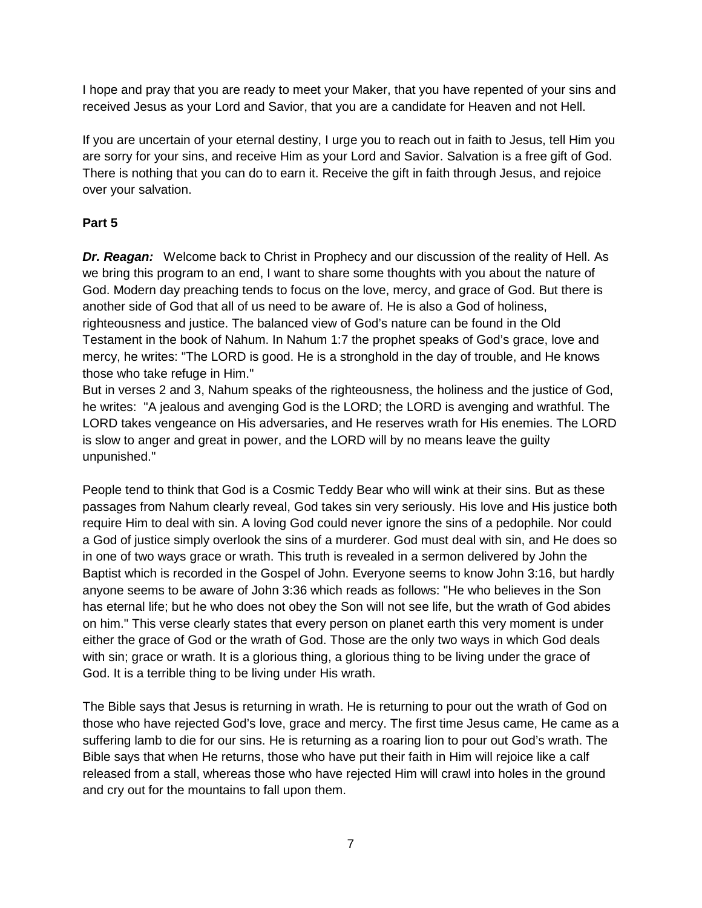I hope and pray that you are ready to meet your Maker, that you have repented of your sins and received Jesus as your Lord and Savior, that you are a candidate for Heaven and not Hell.

If you are uncertain of your eternal destiny, I urge you to reach out in faith to Jesus, tell Him you are sorry for your sins, and receive Him as your Lord and Savior. Salvation is a free gift of God. There is nothing that you can do to earn it. Receive the gift in faith through Jesus, and rejoice over your salvation.

## **Part 5**

*Dr. Reagan:* Welcome back to Christ in Prophecy and our discussion of the reality of Hell. As we bring this program to an end, I want to share some thoughts with you about the nature of God. Modern day preaching tends to focus on the love, mercy, and grace of God. But there is another side of God that all of us need to be aware of. He is also a God of holiness, righteousness and justice. The balanced view of God's nature can be found in the Old Testament in the book of Nahum. In Nahum 1:7 the prophet speaks of God's grace, love and mercy, he writes: "The LORD is good. He is a stronghold in the day of trouble, and He knows those who take refuge in Him."

But in verses 2 and 3, Nahum speaks of the righteousness, the holiness and the justice of God, he writes: "A jealous and avenging God is the LORD; the LORD is avenging and wrathful. The LORD takes vengeance on His adversaries, and He reserves wrath for His enemies. The LORD is slow to anger and great in power, and the LORD will by no means leave the guilty unpunished."

People tend to think that God is a Cosmic Teddy Bear who will wink at their sins. But as these passages from Nahum clearly reveal, God takes sin very seriously. His love and His justice both require Him to deal with sin. A loving God could never ignore the sins of a pedophile. Nor could a God of justice simply overlook the sins of a murderer. God must deal with sin, and He does so in one of two ways grace or wrath. This truth is revealed in a sermon delivered by John the Baptist which is recorded in the Gospel of John. Everyone seems to know John 3:16, but hardly anyone seems to be aware of John 3:36 which reads as follows: "He who believes in the Son has eternal life; but he who does not obey the Son will not see life, but the wrath of God abides on him." This verse clearly states that every person on planet earth this very moment is under either the grace of God or the wrath of God. Those are the only two ways in which God deals with sin; grace or wrath. It is a glorious thing, a glorious thing to be living under the grace of God. It is a terrible thing to be living under His wrath.

The Bible says that Jesus is returning in wrath. He is returning to pour out the wrath of God on those who have rejected God's love, grace and mercy. The first time Jesus came, He came as a suffering lamb to die for our sins. He is returning as a roaring lion to pour out God's wrath. The Bible says that when He returns, those who have put their faith in Him will rejoice like a calf released from a stall, whereas those who have rejected Him will crawl into holes in the ground and cry out for the mountains to fall upon them.